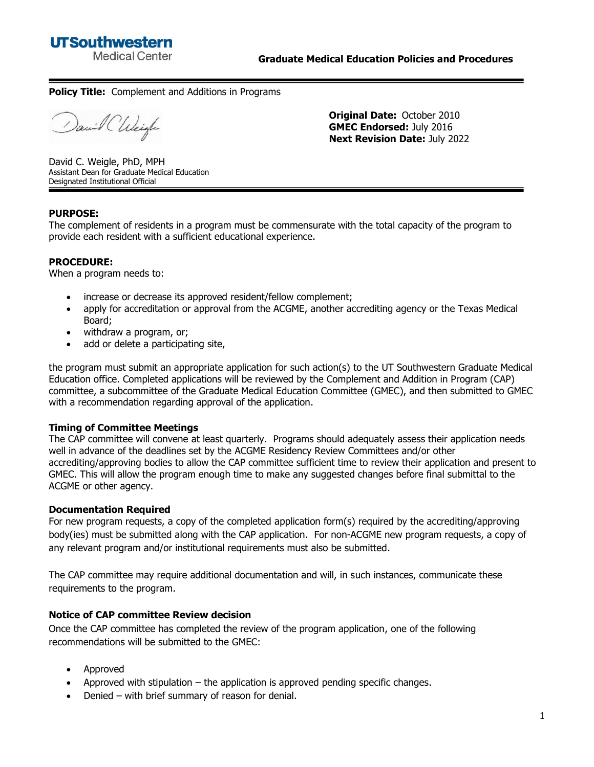

#### **Policy Title:** Complement and Additions in Programs

David CWeigh

**Original Date:** October 2010 **GMEC Endorsed:** July 2016 **Next Revision Date:** July 2022

David C. Weigle, PhD, MPH Assistant Dean for Graduate Medical Education Designated Institutional Official

## **PURPOSE:**

The complement of residents in a program must be commensurate with the total capacity of the program to provide each resident with a sufficient educational experience.

#### **PROCEDURE:**

When a program needs to:

- increase or decrease its approved resident/fellow complement;
- apply for accreditation or approval from the ACGME, another accrediting agency or the Texas Medical Board;
- withdraw a program, or:
- add or delete a participating site,

the program must submit an appropriate application for such action(s) to the UT Southwestern Graduate Medical Education office. Completed applications will be reviewed by the Complement and Addition in Program (CAP) committee, a subcommittee of the Graduate Medical Education Committee (GMEC), and then submitted to GMEC with a recommendation regarding approval of the application.

## **Timing of Committee Meetings**

The CAP committee will convene at least quarterly. Programs should adequately assess their application needs well in advance of the deadlines set by the ACGME Residency Review Committees and/or other accrediting/approving bodies to allow the CAP committee sufficient time to review their application and present to GMEC. This will allow the program enough time to make any suggested changes before final submittal to the ACGME or other agency.

#### **Documentation Required**

For new program requests, a copy of the completed application form(s) required by the accrediting/approving body(ies) must be submitted along with the CAP application. For non-ACGME new program requests, a copy of any relevant program and/or institutional requirements must also be submitted.

The CAP committee may require additional documentation and will, in such instances, communicate these requirements to the program.

## **Notice of CAP committee Review decision**

Once the CAP committee has completed the review of the program application, one of the following recommendations will be submitted to the GMEC:

- Approved
- Approved with stipulation  $-$  the application is approved pending specific changes.
- Denied with brief summary of reason for denial.